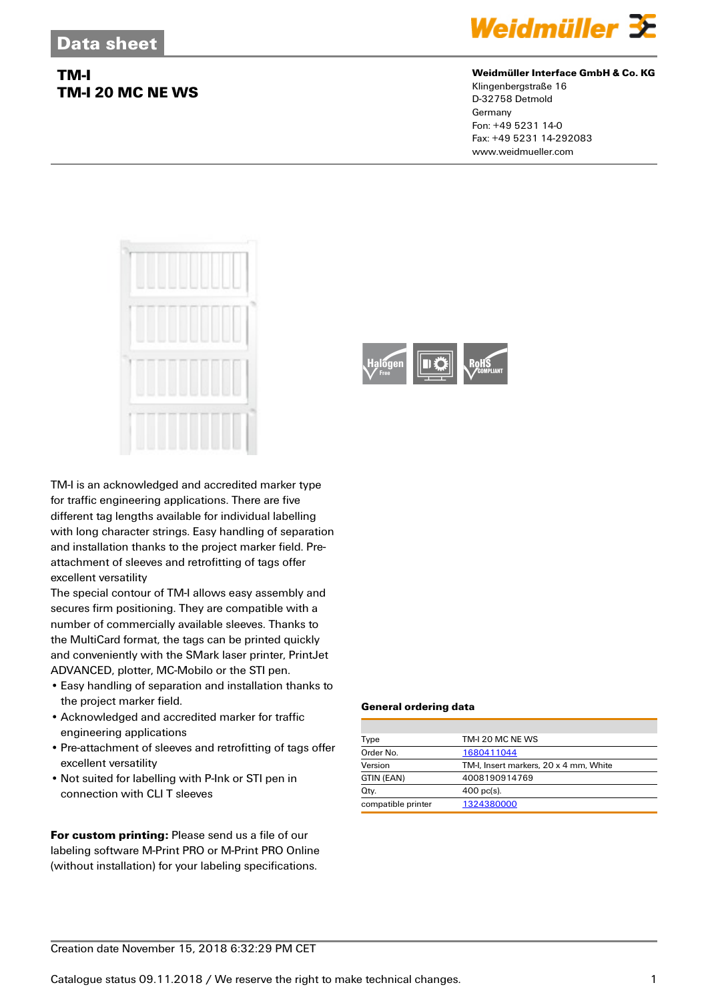## **TM-I TM-I 20 MC NE WS**



### **Weidmüller Interface GmbH & Co. KG**

Klingenbergstraße 16 D-32758 Detmold Germany Fon: +49 5231 14-0 Fax: +49 5231 14-292083 www.weidmueller.com



TM-I is an acknowledged and accredited marker type for traffic engineering applications. There are five different tag lengths available for individual labelling with long character strings. Easy handling of separation and installation thanks to the project marker field. Preattachment of sleeves and retrofitting of tags offer excellent versatility

The special contour of TM-I allows easy assembly and secures firm positioning. They are compatible with a number of commercially available sleeves. Thanks to the MultiCard format, the tags can be printed quickly and conveniently with the SMark laser printer, PrintJet ADVANCED, plotter, MC-Mobilo or the STI pen.

- Easy handling of separation and installation thanks to the project marker field.
- Acknowledged and accredited marker for traffic engineering applications
- Pre-attachment of sleeves and retrofitting of tags offer excellent versatility
- Not suited for labelling with P-Ink or STI pen in connection with CLI T sleeves

**For custom printing:** Please send us a file of our labeling software M-Print PRO or M-Print PRO Online (without installation) for your labeling specifications.



### **General ordering data**

| Type               | TM-I 20 MC NE WS                       |  |  |
|--------------------|----------------------------------------|--|--|
| Order No.          | 1680411044                             |  |  |
| Version            | TM-I, Insert markers, 20 x 4 mm, White |  |  |
| GTIN (EAN)         | 4008190914769                          |  |  |
| Qty.               | $400 \text{ pc(s)}$ .                  |  |  |
| compatible printer | 1324380000                             |  |  |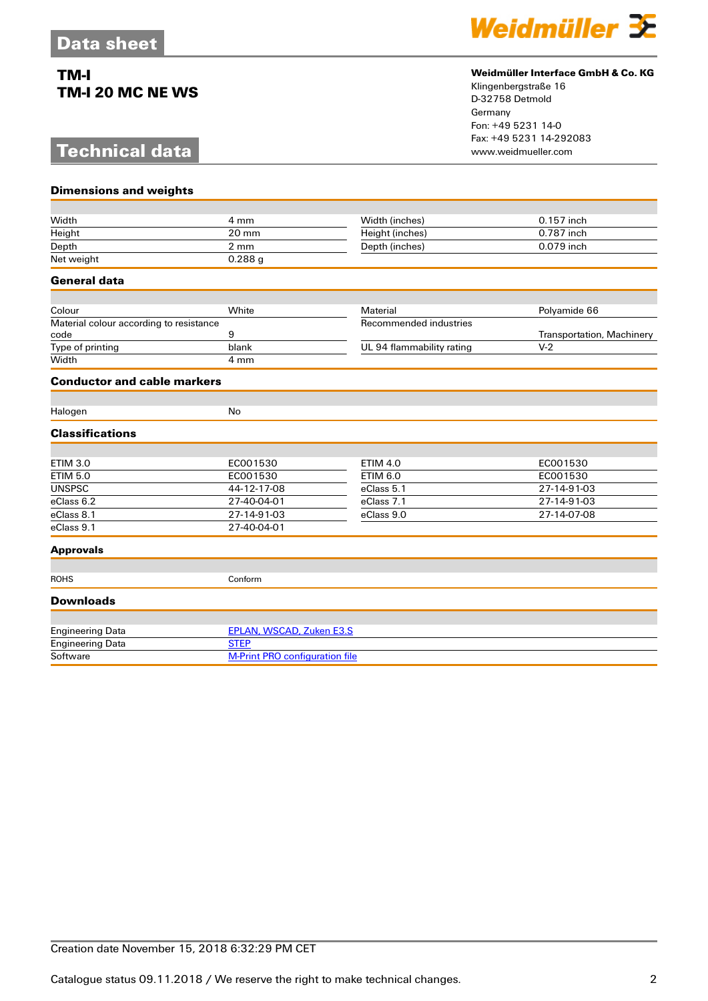## **TM-I TM-I 20 MC NE WS**

# **Technical data**



### **Weidmüller Interface GmbH & Co. KG**

Klingenbergstraße 16 D-32758 Detmold Germany Fon: +49 5231 14-0 Fax: +49 5231 14-292083

| <b>Dimensions and weights</b>                   |                                       |                           |                           |  |
|-------------------------------------------------|---------------------------------------|---------------------------|---------------------------|--|
|                                                 |                                       |                           |                           |  |
| Width                                           | 4 mm                                  | Width (inches)            | 0.157 inch                |  |
| Height                                          | 20 mm                                 | Height (inches)           | 0.787 inch                |  |
| Depth                                           | $2 \, \text{mm}$                      | Depth (inches)            | 0.079 inch                |  |
| Net weight                                      | 0.288g                                |                           |                           |  |
| <b>General data</b>                             |                                       |                           |                           |  |
|                                                 |                                       |                           |                           |  |
| Colour                                          | White                                 | Material                  | Polyamide 66              |  |
| Material colour according to resistance<br>code | 9                                     | Recommended industries    | Transportation, Machinery |  |
| Type of printing                                | blank                                 | UL 94 flammability rating | $V-2$                     |  |
| Width                                           | 4 mm                                  |                           |                           |  |
| <b>Conductor and cable markers</b>              |                                       |                           |                           |  |
|                                                 |                                       |                           |                           |  |
| Halogen                                         | <b>No</b>                             |                           |                           |  |
| <b>Classifications</b>                          |                                       |                           |                           |  |
|                                                 |                                       |                           |                           |  |
| <b>ETIM 3.0</b>                                 | EC001530                              | <b>ETIM 4.0</b>           | EC001530                  |  |
| <b>ETIM 5.0</b>                                 | EC001530                              | <b>ETIM 6.0</b>           | EC001530                  |  |
| <b>UNSPSC</b>                                   | 44-12-17-08                           | eClass 5.1                | 27-14-91-03               |  |
| eClass 6.2                                      | 27-40-04-01                           | eClass 7.1                | 27-14-91-03               |  |
| eClass 8.1                                      | 27-14-91-03                           | eClass 9.0                | 27-14-07-08               |  |
| eClass 9.1                                      | 27-40-04-01                           |                           |                           |  |
| <b>Approvals</b>                                |                                       |                           |                           |  |
| <b>ROHS</b>                                     | Conform                               |                           |                           |  |
| <b>Downloads</b>                                |                                       |                           |                           |  |
|                                                 |                                       |                           |                           |  |
| <b>Engineering Data</b>                         | <b>EPLAN, WSCAD, Zuken E3.S</b>       |                           |                           |  |
| <b>Engineering Data</b>                         | <b>STEP</b>                           |                           |                           |  |
| Software                                        | <b>M-Print PRO configuration file</b> |                           |                           |  |